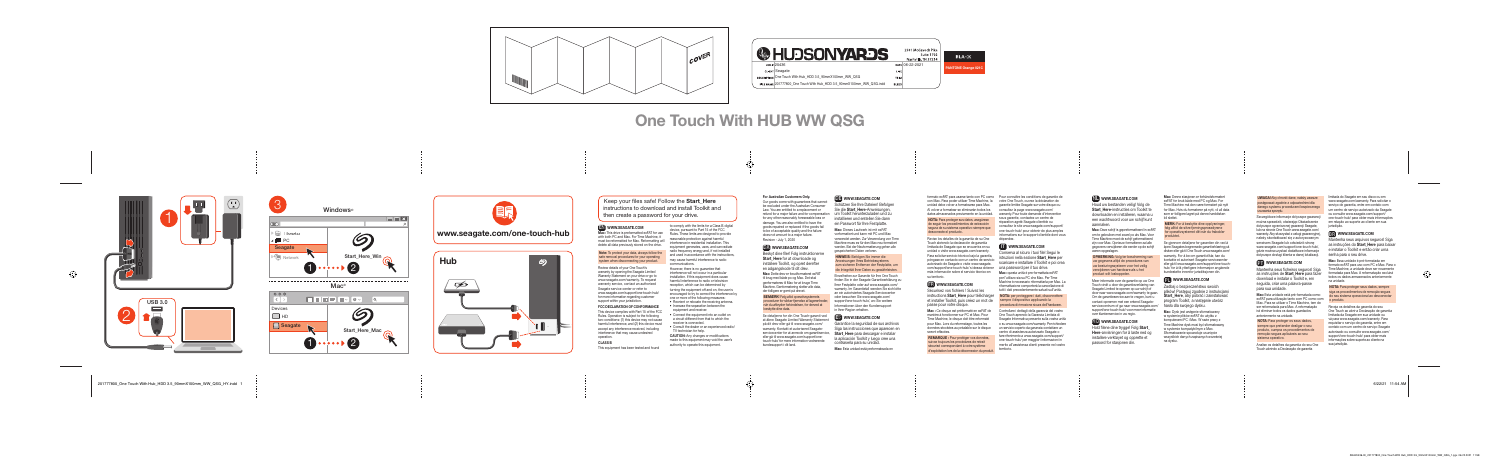Keep your files safe! Follow the Start Here instructions to download and install Toolkit and then create a password for your drive.

Note: To protect your data, always follow the safe removal procedures for your operating system when disconnecting your product



### EN WWW.SEAGATE.COM

Mac: This drive is preformatted exFAT for use with both PC and Mac. For Time Machine, it must be reformatted for Mac. Reformatting will delete all data previously stored on the drive.

This device complies with Part 15 of the FCC Rules. Operation is subject to the following two conditions: (1) this device may not cause harmful interference, and (2) this device must accept any interference received, including interference that may cause undesired operation.

Review details of your One Touch's warranty by opening the Seagate Limited Warranty Statement on your drive or go to www.seagate.com/warranty. To request warranty service, contact an authorized Seagate service center or refer to www.seagate.com/support/one-touch-h for more information regarding custome support within your jurisdiction.

#### **FCC DECLARATION OF CONFORMAN**

However, there is no guarantee that interference will not occur in a particular installation. If this equipment does cause harmful interference to radio or television reception, which can be determined by turning the equipment off and on, the user is encouraged to try to correct the interference by one or more of the following measures:

- Reorient or relocate the receiving antenna • Increase the separation between the equipment and receiver.
- Connect the equipment into an outlet on a circuit different from that to which the receiver is connected.
- Consult the dealer or an experienced radio/ TV technician for help.

**CAUTION:** Any changes or modifications made to this equipment may void the user's authority to operate this equipment.

#### CLASS B

This equipment has been tested and found

Revision - July 1, 2020 DA WWW.SEAGATE.COM

Beskyt dine filer! Følg instruktioner Start\_Here for at downloade o installere Toolkit, og opret derefte en adgangskode til dit drev.

to comply with the limits for a Class B digital device, pursuant to Part 15 of the FCC Rules. These limits are designed to provide reasonable protection against harmful interference in residential installation. This equipment generates, uses, and can radiate radio frequency energy and, if not installed and used in accordance with the instructions, may cause harmful interference to radio communications.

> Mac: Dette drev er forudformateret e til brug med både pc og Mac. Det skal genformateres til Mac for at bruge Time Machine. Genformatering sletter alle data der tidligere er gemt på drevet.

**BEMÆRK!** Følg altid operativsystem procedurer for sikker fjernelse af lagerenheder, når du afbryder forbindelsen, for derved at beskytte dine data.

Se detalierne for din One Touch-garanti ve at åbne Seagate Limited Warranty Statement på dit drev eller gå til www.seagate.com/ warranty. Kontakt et autoriseret Seagateservicecenter for at anmode om garantiservice. eller gå til www.seagate.com/support/onetouch-hub/ for mere information vedrørende

### **DE WWW.SEAGATE.COM**

Schützen Sie Ihre Dateien! Befolgen Sie die Start Here-Anweisungen um Toolkit herunterzuladen und zu installieren und erstellen Sie dann ein Passwort für Ihre Festplatte.

Garantice la seguridad de sus archivo Siga las instrucciones que aparecen en Start Here para descargar e instalar la aplicación Toolkit y luego cree una contraseña para su unidad.

Mac: Esta unidad está preformateada en

#### For Australian Customers Only.

Our goods come with guarantees that cannot be excluded under the Australian Consumer Law. You are entitled to a replacement or refund for a major failure and for compensation for any other reasonably foreseeable loss or damage. You are also entitled to have the goods repaired or replaced if the goods fail to be of acceptable quality and the failure

does not amount to a major failure.

kundesupport i dit land.

Controllare i dettagli della garanzia del vostro One Touch aprendo la Garanzia Limitata di Seagate Informativa presente sulla vostra unità o su www.seagate.com/warranty. Per richiedere un servizio coperto da garanzia contattare un centro di assistenza autorizzato Seagate o fare riferimento a www.seagate.com/support one-touch-hub/ per maggiori informazioni in merito all'assistenza clienti presente nel vostro territorio.

### NL WWW.SEAGATE.COM

Houd uw bestanden veilig! Volg d Start\_Here-instructies om Toolkit te downloaden en installeren, waarna u een wachtwoord voor uw schijf kunt aanmaken.

Mac: Dieses Laufwerk ist mit exFAT vorformatiert und kann mit PC und Mac verwendet werden. Zur Verwendung von Time Machine muss es für den Mac neu formatiert werden. Bei der Neuformatierung gehen alle

gespeicherten Daten verloren. HINWEIS: Befolgen Sie immer die **Anweisungen Ihres Betriebssystem** zum sicheren Entfernen der Festplatte, um die Integrität Ihrer Daten zu gewährleisten.

> Hold filene dine trygge! Følg Start Here-anvisningen for å laste ned og installere verktøyet og opprette et passord for stasjonen din.

Einzelheiten zur Garantie für Ihre One Touch finden Sie in der Seagate Garantieerklärung zu Ihrer Festplatte oder auf www.seagate.com/ warranty. Im Garantiefall wenden Sie sich bitte an ein autorisiertes Seagate Servicecenter oder besuchen Sie www.seagate.com/ support/one-touch-hub/, wo Sie weitere Informationen über den Kundensupport in Ihrer Region erhalten.

#### MERK: For å beskytte dine opplysninger følg alltid de sikre fjerningsprosedyrene or operativsystemet ditt når du frakobler produktet.

Se gjennom detaljene for garantien din ved å åpne Seagates begrensede garantierklæring r disken eller gå til One Touch www.seagate.com/ warranty. For å be om garantivilkår, kan du kontakte et autorisert Seagate-servicesente eller gå til www.seagate.com/support/one-touch hub/ for å få ytterligere informasjon angående kundestøtte innenfor jurisdiksjonen din.

### ES WWW.SEAGATE.COM

formato exFAT para usarse tanto con PC como Pour connaître les conditions de garantie de con Mac. Para poder utilizar Time Machine, la votre One Touch, ouvrez la déclaration de unidad debe volver a formatearse para Mac. Al volver a formatear se eliminarán todos los datos almacenados previamente en la unidad.

NOTA: Para proteger sus datos, asegúrese de seguir los procedimientos de extracción segura de su sistema operativo siempre que desconecte el producto.

> Mantenha seus ficheiros seguros! as instruções de Start Here para faz download e instalar o Toolkit e, em seguida, criar uma palavra-pass para sua unidade.

Mac: Esta unidade está pré-formatada como exFAT para utilização tanto com PC como com Mac. Para se utilizar o Time Machine, tem de ser reformatada para Mac. A reformatação irá eliminar todos os dados guardados anteriormente na unidade.

Revise los detalles de la garantía de su One Touch abriendo la declaración de garantía limitada de Seagate que se encuentra en su unidad o visite www.seagate.com/warranty. Para solicitar servicio técnico bajo la garantía, póngase en contacto con un centro de servicio autorizado de Seagate o visite www.seagate. com/support/one-touch-hub/ si desea obtener más información sobre el servicio técnico en su territorio.

### FR WWW.SEAGATE.COM

Analise os detalhes da garantia do seu Ono Touch abrindo a Declaração de garantia

Sécurisez vos fichiers ! Suivez les instructions Start Here pour télécharger et installer Toolkit, puis créez un mot de passe pour votre disque.

Reveja os detalhes da garantia do seu One Touch ao abrir a Declaração de garantia limitada da Seagate em sua unidade ou vá para www.seagate.com/warranty. Para requisitar o serviço de garantia, entre em contato com um centro de serviço Seagate autorizado ou consulte www.seagate.com/ support/one-touch-hub/ para obter mais informações sobre suporte ao cliente na sua jurisdicão

Mac : Ce disque est préformaté en exFAT de manière à fonctionner sur PC et Mac. Pour Time Machine, le disque doit être reformaté pour Mac. Lors du reformatage, toutes les données stockées au préalable sur le disque seront effacées.

REMARQUE : Pour protéger vos données, suivez toujours les procédures de retrait sécurisé correspondant à votre système d'exploitation lors de la déconnexion du produit.

garantie limitée Seagate sur votre disque ou consultez la page www.seagate.com/ warranty. Pour toute demande d'intervention sous garantie, contactez un centre de réparation agréé Seagate clientèle ou consultez le site www.seagate.com/support one-touch-hub/ pour obtenir de plus amples informations sur le support clientèle dont vous dépendez.

#### **IT WWW.SEAGATE.COM**

Conserva al sicuro i tuoi file! Segui le istruzioni nella sezione Start Here pe scaricare e installare il Toolkit e poi crea una password per il tuo drive.

Mac: questa unità è pre-formattata exFAT per l'utilizzo sia su PC che Mac. Per Time Machine è necessario riformattarla per Mac. La riformattazione comporterà la cancellazione d tutti i dati precedentemente salvati sull'unità.

NOTA: per proteggere i dati, disconnettere sempre il dispositivo applicando la procedura di rimozione sicura dell'hardware. Mac: Deze schijf is gepreformatteerd in exFAT om te gebruiken met zowel pc als Mac. Voor Time Machine moet de schijf geformatteerd zijn voor Mac. Opnieuw formatteren zal alle gegevens verwijderen die eerder op de schijf waren opgeslagen.

OPMERKING: Volg ter bescherming van uw gegevens altijd de procedures van uw besturingssysteem voor het veilig verwijderen van hardware als u het product wilt loskoppelen.

Meer informatie over de garantie op uw One Touch vindt u door de garantieverklaring van Seagate Limited te openen op uw schijf o door naar www.seagate.com/warranty te gaa Om de garantieservice aan te vragen, kunt u contact opnemen met een erkend Seagateservicecentrum of ga naar www.seagate.com/ support/one-touch-hub/ voor meer informatie over klantenservice in uw regio.

#### NO WWW.SEAGATE.COM

Mac: Denne stasjonen er forhåndsformatert exFAT for bruk både med PC og Mac. For Time Machine må den være formatert på nytt for Mac. Hvis du formaterer på nytt, vil all data som er tidligere lagret på denne harddisken bli slettet.

#### PLWWW.SEAGATE.COM

Zadbaj o bezpieczeństwo swoich plików! Postępuj zgodnie z instrukcjami **Start Here, aby pobrać i zainstalowa** program Toolkit, a następnie utwórz hasło dla swojego dysku.

**Mac:** Dysk jest wstępnie sformatowany w systemie plików exFAT do użytku z komputerami PC i Mac. W razie pracy z Time Machine dysk musi być sformatowany w systemie kompatybilnym z Mac. Sformatowanie spowoduje usunięcie wszystkich danych zapisanych wcześnie na dysku.

**UWAGA!** Aby chronić dane, należy zawsze ostepować zgodnie z odpowiednimi dl danego systemu procedurami bezpiecznego usuwania sprzętu.

Szczegółowe informacje dotyczące gwara można sprawdzić, otwierając Oświadczenie dotyczące ograniczonej gwarancji Seagate, lub na stronie One Touch www.seagate.com/ warranty. Aby skorzystać z usługi gwarancyjn należy skontaktować się z autoryzowanym serwisem Seagate lub odwiedzić stronę www.seagate.com/support/one-touch-hul gdzie można uzyskać dodatkowe informacje dotyczące obsługi klienta w danej lokalizac

### **PT** WWW.SEAGATE.COM

NOTA: Para proteger os seus dados, sempre que pretender desligar o seu produto, cumpra os procedimentos de remoção segura aplicáveis ao seu sistema operativo.

limitada do Seagate em seu disco ou em www.seagate.com/warranty. Para solicitar o serviço de garantia, entre em contato com um centro de serviço autorizado da Seagate ou consulte www.seagate.com/support one-touch-hub/ para obter mais informações em relação ao suporte ao cliente em sua jurisdição.

### **B** WWW.SEAGATE.COM

Mantenha seus arquivos seguros! Siga as instruções do Start Here para baixar e instalar o Toolkit e então criar uma senha para o seu drive.

Mac: Essa unidade é pré-formatada em formato exFAT para uso com PC e Mac. Para o Time Machine, a unidade deve ser novamente formatada para Mac. A reformatação excluirá todos os dados armazenados anteriormente na unidade.

NOTA: Para proteger seus dados, sempre siga os procedimentos de remoção segura do seu sistema operacional ao desconectar o produto.